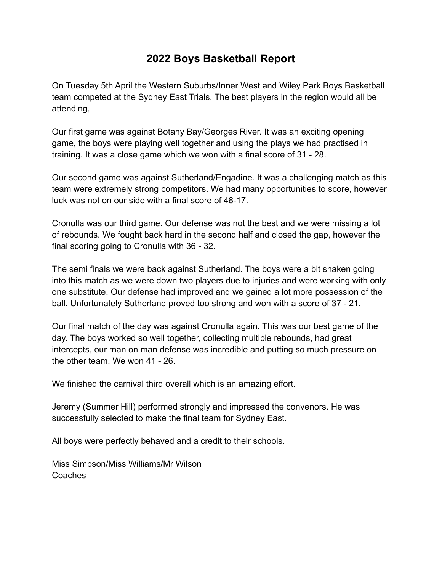## **2022 Boys Basketball Report**

On Tuesday 5th April the Western Suburbs/Inner West and Wiley Park Boys Basketball team competed at the Sydney East Trials. The best players in the region would all be attending,

Our first game was against Botany Bay/Georges River. It was an exciting opening game, the boys were playing well together and using the plays we had practised in training. It was a close game which we won with a final score of 31 - 28.

Our second game was against Sutherland/Engadine. It was a challenging match as this team were extremely strong competitors. We had many opportunities to score, however luck was not on our side with a final score of 48-17.

Cronulla was our third game. Our defense was not the best and we were missing a lot of rebounds. We fought back hard in the second half and closed the gap, however the final scoring going to Cronulla with 36 - 32.

The semi finals we were back against Sutherland. The boys were a bit shaken going into this match as we were down two players due to injuries and were working with only one substitute. Our defense had improved and we gained a lot more possession of the ball. Unfortunately Sutherland proved too strong and won with a score of 37 - 21.

Our final match of the day was against Cronulla again. This was our best game of the day. The boys worked so well together, collecting multiple rebounds, had great intercepts, our man on man defense was incredible and putting so much pressure on the other team. We won 41 - 26.

We finished the carnival third overall which is an amazing effort.

Jeremy (Summer Hill) performed strongly and impressed the convenors. He was successfully selected to make the final team for Sydney East.

All boys were perfectly behaved and a credit to their schools.

Miss Simpson/Miss Williams/Mr Wilson Coaches